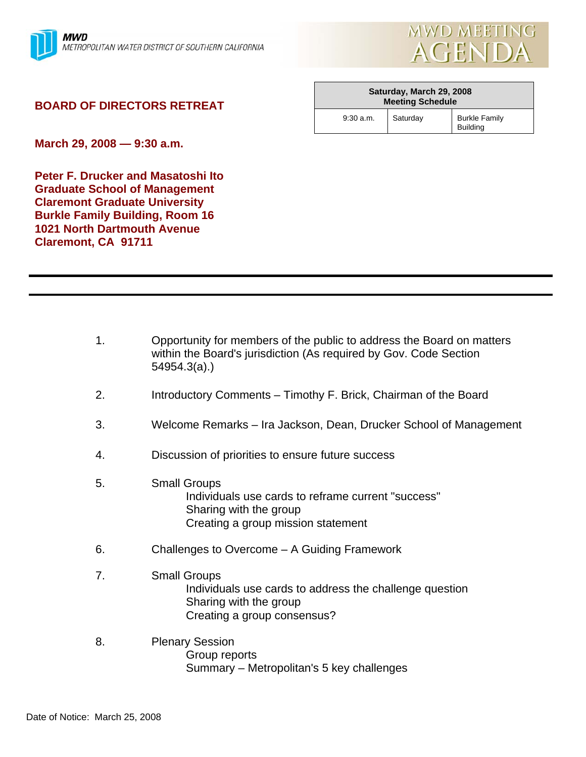

## **BOARD OF DIRECTORS RETREAT**

| Saturday, March 29, 2008<br><b>Meeting Schedule</b> |          |                                         |
|-----------------------------------------------------|----------|-----------------------------------------|
| $9:30$ a.m.                                         | Saturday | <b>Burkle Family</b><br><b>Building</b> |

**March 29, 2008 — 9:30 a.m.** 

**Peter F. Drucker and Masatoshi Ito Graduate School of Management Claremont Graduate University Burkle Family Building, Room 16 1021 North Dartmouth Avenue Claremont, CA 91711** 

- 1. Opportunity for members of the public to address the Board on matters within the Board's jurisdiction (As required by Gov. Code Section 54954.3(a).)
- 2. Introductory Comments Timothy F. Brick, Chairman of the Board
- 3. Welcome Remarks Ira Jackson, Dean, Drucker School of Management
- 4. Discussion of priorities to ensure future success
- 5. Small Groups Individuals use cards to reframe current "success" Sharing with the group Creating a group mission statement
- 6. Challenges to Overcome A Guiding Framework
- 7. Small Groups Individuals use cards to address the challenge question Sharing with the group Creating a group consensus?
- 8. Plenary Session Group reports Summary – Metropolitan's 5 key challenges